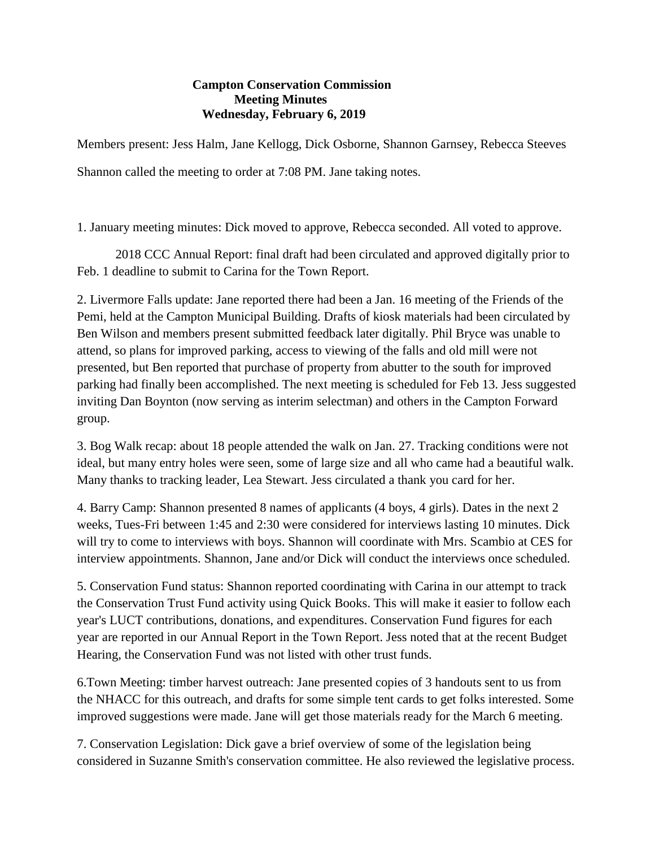## **Campton Conservation Commission Meeting Minutes Wednesday, February 6, 2019**

Members present: Jess Halm, Jane Kellogg, Dick Osborne, Shannon Garnsey, Rebecca Steeves Shannon called the meeting to order at 7:08 PM. Jane taking notes.

1. January meeting minutes: Dick moved to approve, Rebecca seconded. All voted to approve.

2018 CCC Annual Report: final draft had been circulated and approved digitally prior to Feb. 1 deadline to submit to Carina for the Town Report.

2. Livermore Falls update: Jane reported there had been a Jan. 16 meeting of the Friends of the Pemi, held at the Campton Municipal Building. Drafts of kiosk materials had been circulated by Ben Wilson and members present submitted feedback later digitally. Phil Bryce was unable to attend, so plans for improved parking, access to viewing of the falls and old mill were not presented, but Ben reported that purchase of property from abutter to the south for improved parking had finally been accomplished. The next meeting is scheduled for Feb 13. Jess suggested inviting Dan Boynton (now serving as interim selectman) and others in the Campton Forward group.

3. Bog Walk recap: about 18 people attended the walk on Jan. 27. Tracking conditions were not ideal, but many entry holes were seen, some of large size and all who came had a beautiful walk. Many thanks to tracking leader, Lea Stewart. Jess circulated a thank you card for her.

4. Barry Camp: Shannon presented 8 names of applicants (4 boys, 4 girls). Dates in the next 2 weeks, Tues-Fri between 1:45 and 2:30 were considered for interviews lasting 10 minutes. Dick will try to come to interviews with boys. Shannon will coordinate with Mrs. Scambio at CES for interview appointments. Shannon, Jane and/or Dick will conduct the interviews once scheduled.

5. Conservation Fund status: Shannon reported coordinating with Carina in our attempt to track the Conservation Trust Fund activity using Quick Books. This will make it easier to follow each year's LUCT contributions, donations, and expenditures. Conservation Fund figures for each year are reported in our Annual Report in the Town Report. Jess noted that at the recent Budget Hearing, the Conservation Fund was not listed with other trust funds.

6.Town Meeting: timber harvest outreach: Jane presented copies of 3 handouts sent to us from the NHACC for this outreach, and drafts for some simple tent cards to get folks interested. Some improved suggestions were made. Jane will get those materials ready for the March 6 meeting.

7. Conservation Legislation: Dick gave a brief overview of some of the legislation being considered in Suzanne Smith's conservation committee. He also reviewed the legislative process.